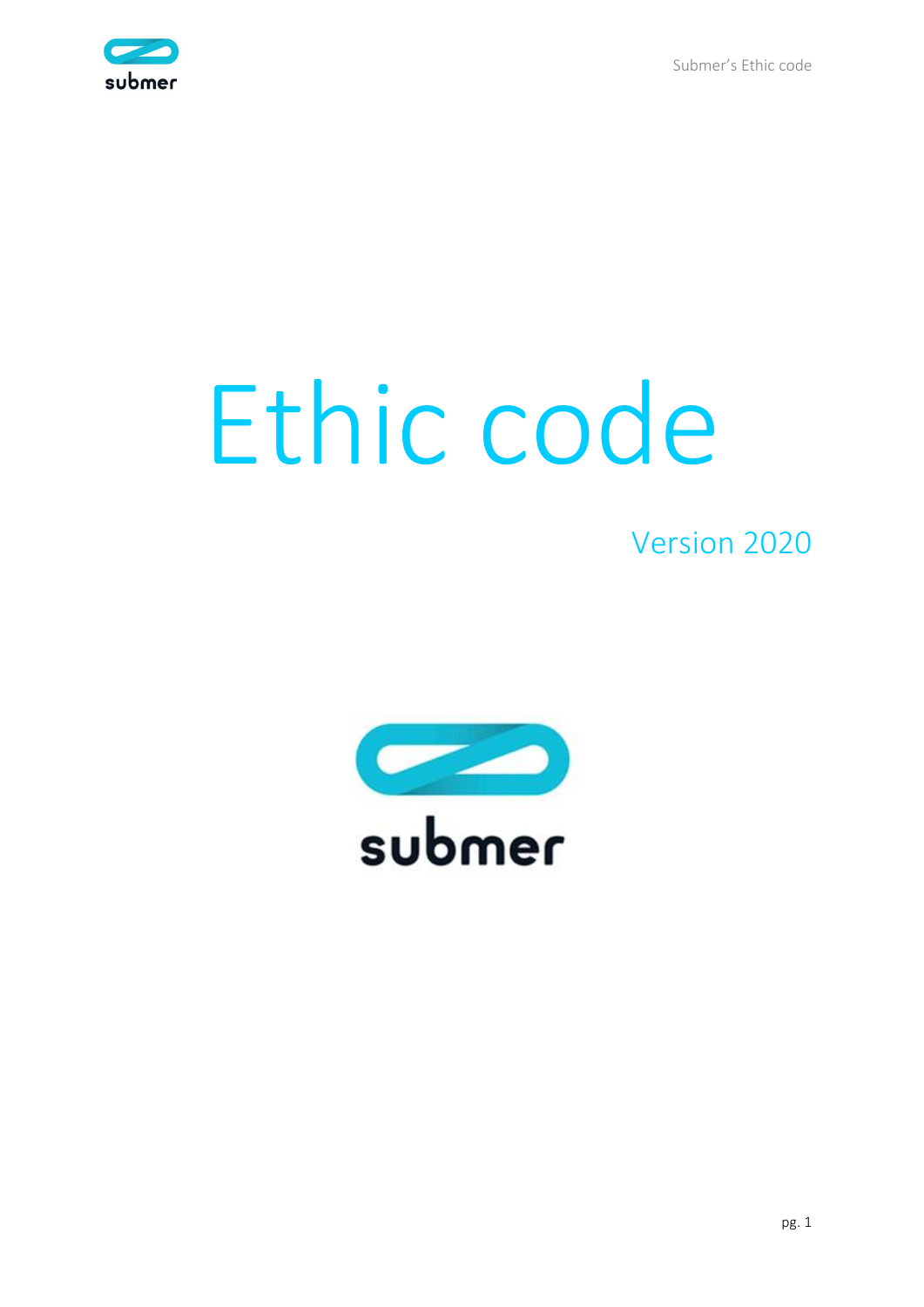Submer's Ethic code



# Ethic code

## Version 2020

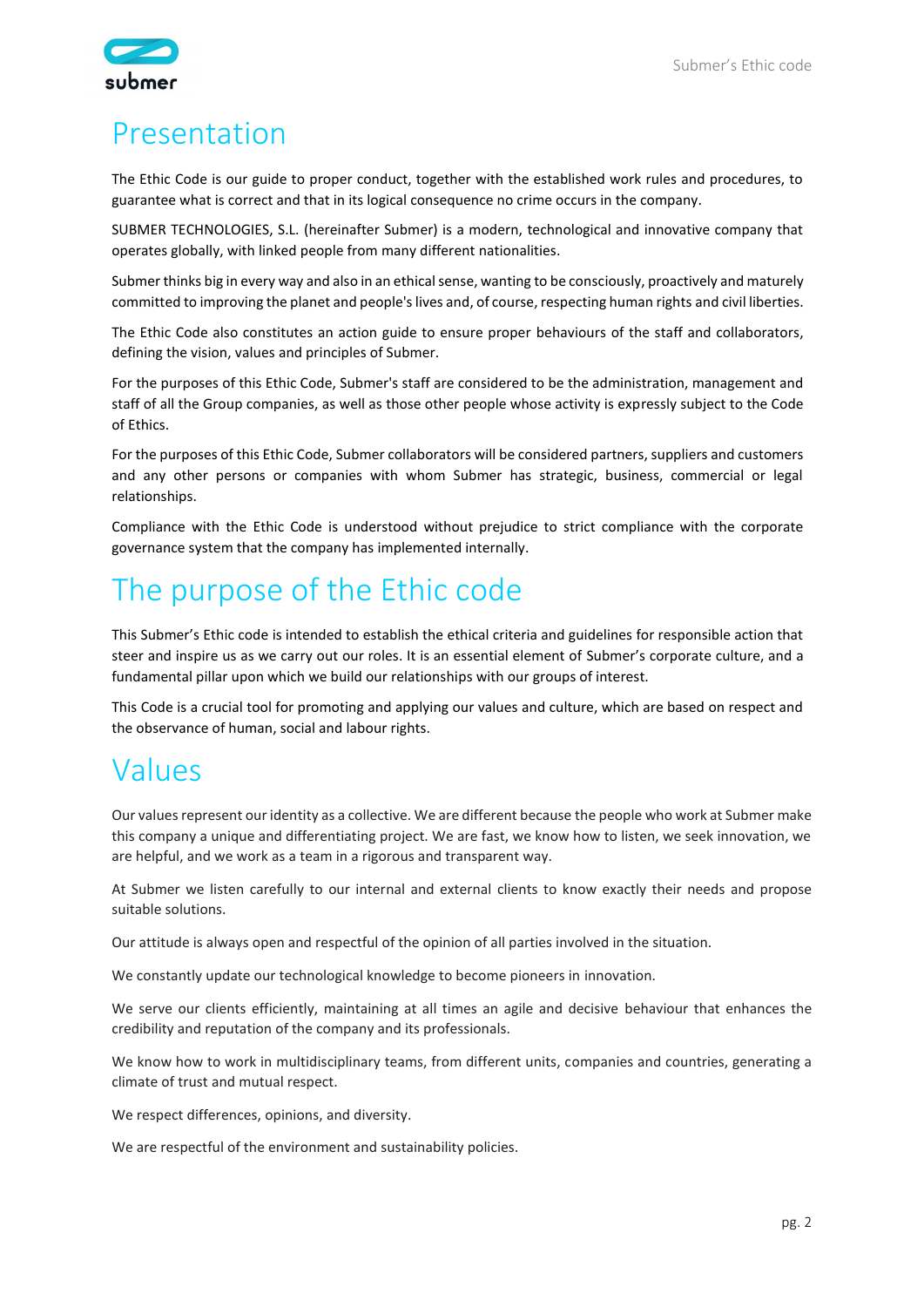

## Presentation

The Ethic Code is our guide to proper conduct, together with the established work rules and procedures, to guarantee what is correct and that in its logical consequence no crime occurs in the company.

SUBMER TECHNOLOGIES, S.L. (hereinafter Submer) is a modern, technological and innovative company that operates globally, with linked people from many different nationalities.

Submer thinks big in every way and also in an ethical sense, wanting to be consciously, proactively and maturely committed to improving the planet and people's lives and, of course, respecting human rights and civil liberties.

The Ethic Code also constitutes an action guide to ensure proper behaviours of the staff and collaborators, defining the vision, values and principles of Submer.

For the purposes of this Ethic Code, Submer's staff are considered to be the administration, management and staff of all the Group companies, as well as those other people whose activity is expressly subject to the Code of Ethics.

For the purposes of this Ethic Code, Submer collaborators will be considered partners, suppliers and customers and any other persons or companies with whom Submer has strategic, business, commercial or legal relationships.

Compliance with the Ethic Code is understood without prejudice to strict compliance with the corporate governance system that the company has implemented internally.

## The purpose of the Ethic code

This Submer's Ethic code is intended to establish the ethical criteria and guidelines for responsible action that steer and inspire us as we carry out our roles. It is an essential element of Submer's corporate culture, and a fundamental pillar upon which we build our relationships with our groups of interest.

This Code is a crucial tool for promoting and applying our values and culture, which are based on respect and the observance of human, social and labour rights.

## Values

Our values represent our identity as a collective. We are different because the people who work at Submer make this company a unique and differentiating project. We are fast, we know how to listen, we seek innovation, we are helpful, and we work as a team in a rigorous and transparent way.

At Submer we listen carefully to our internal and external clients to know exactly their needs and propose suitable solutions.

Our attitude is always open and respectful of the opinion of all parties involved in the situation.

We constantly update our technological knowledge to become pioneers in innovation.

We serve our clients efficiently, maintaining at all times an agile and decisive behaviour that enhances the credibility and reputation of the company and its professionals.

We know how to work in multidisciplinary teams, from different units, companies and countries, generating a climate of trust and mutual respect.

We respect differences, opinions, and diversity.

We are respectful of the environment and sustainability policies.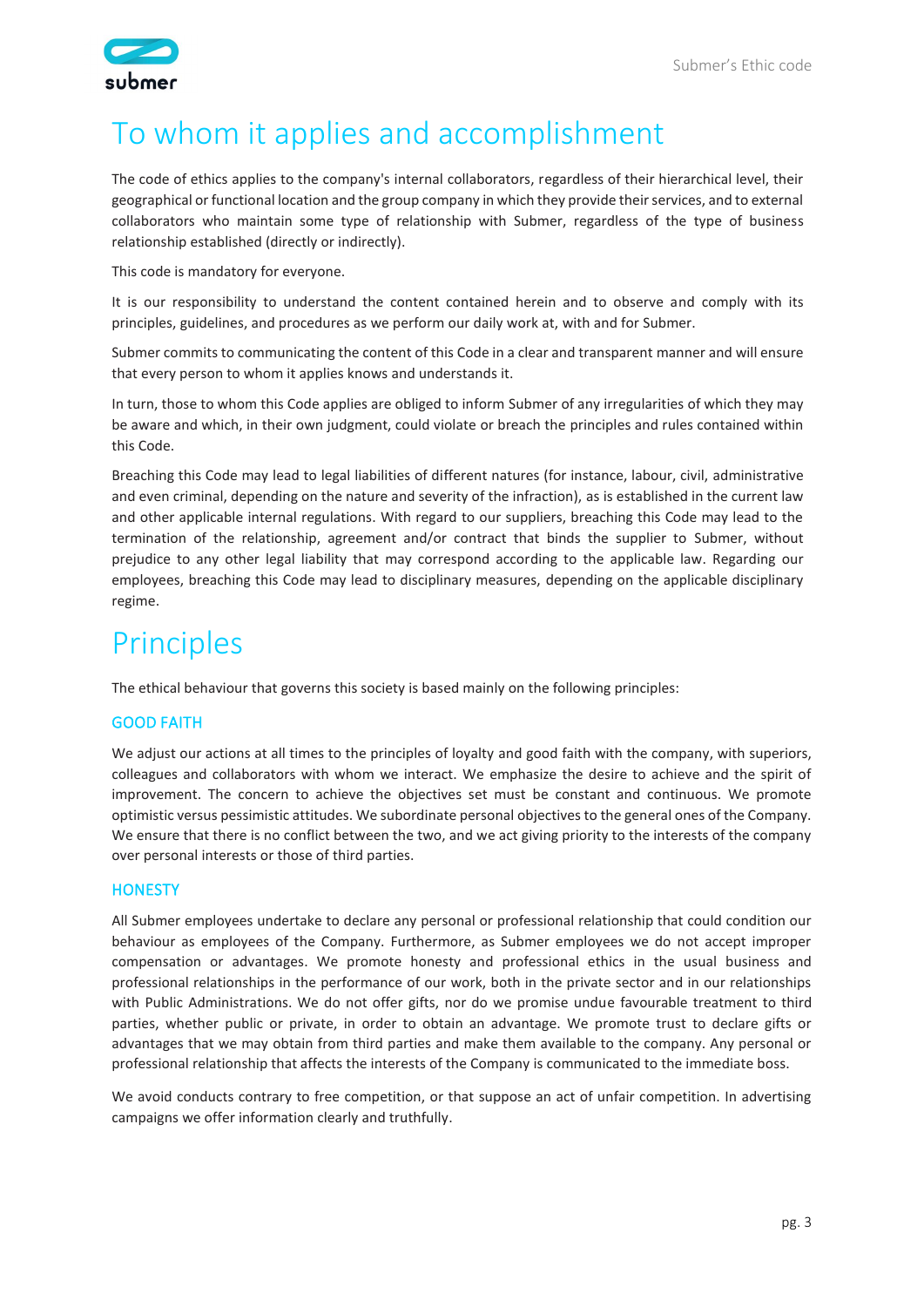

## To whom it applies and accomplishment

The code of ethics applies to the company's internal collaborators, regardless of their hierarchical level, their geographical or functional location and the group company in which they provide their services, and to external collaborators who maintain some type of relationship with Submer, regardless of the type of business relationship established (directly or indirectly).

This code is mandatory for everyone.

It is our responsibility to understand the content contained herein and to observe and comply with its principles, guidelines, and procedures as we perform our daily work at, with and for Submer.

Submer commits to communicating the content of this Code in a clear and transparent manner and will ensure that every person to whom it applies knows and understands it.

In turn, those to whom this Code applies are obliged to inform Submer of any irregularities of which they may be aware and which, in their own judgment, could violate or breach the principles and rules contained within this Code.

Breaching this Code may lead to legal liabilities of different natures (for instance, labour, civil, administrative and even criminal, depending on the nature and severity of the infraction), as is established in the current law and other applicable internal regulations. With regard to our suppliers, breaching this Code may lead to the termination of the relationship, agreement and/or contract that binds the supplier to Submer, without prejudice to any other legal liability that may correspond according to the applicable law. Regarding our employees, breaching this Code may lead to disciplinary measures, depending on the applicable disciplinary regime.

## Principles

The ethical behaviour that governs this society is based mainly on the following principles:

#### GOOD FAITH

We adjust our actions at all times to the principles of loyalty and good faith with the company, with superiors, colleagues and collaborators with whom we interact. We emphasize the desire to achieve and the spirit of improvement. The concern to achieve the objectives set must be constant and continuous. We promote optimistic versus pessimistic attitudes. We subordinate personal objectives to the general ones of the Company. We ensure that there is no conflict between the two, and we act giving priority to the interests of the company over personal interests or those of third parties.

#### **HONESTY**

All Submer employees undertake to declare any personal or professional relationship that could condition our behaviour as employees of the Company. Furthermore, as Submer employees we do not accept improper compensation or advantages. We promote honesty and professional ethics in the usual business and professional relationships in the performance of our work, both in the private sector and in our relationships with Public Administrations. We do not offer gifts, nor do we promise undue favourable treatment to third parties, whether public or private, in order to obtain an advantage. We promote trust to declare gifts or advantages that we may obtain from third parties and make them available to the company. Any personal or professional relationship that affects the interests of the Company is communicated to the immediate boss.

We avoid conducts contrary to free competition, or that suppose an act of unfair competition. In advertising campaigns we offer information clearly and truthfully.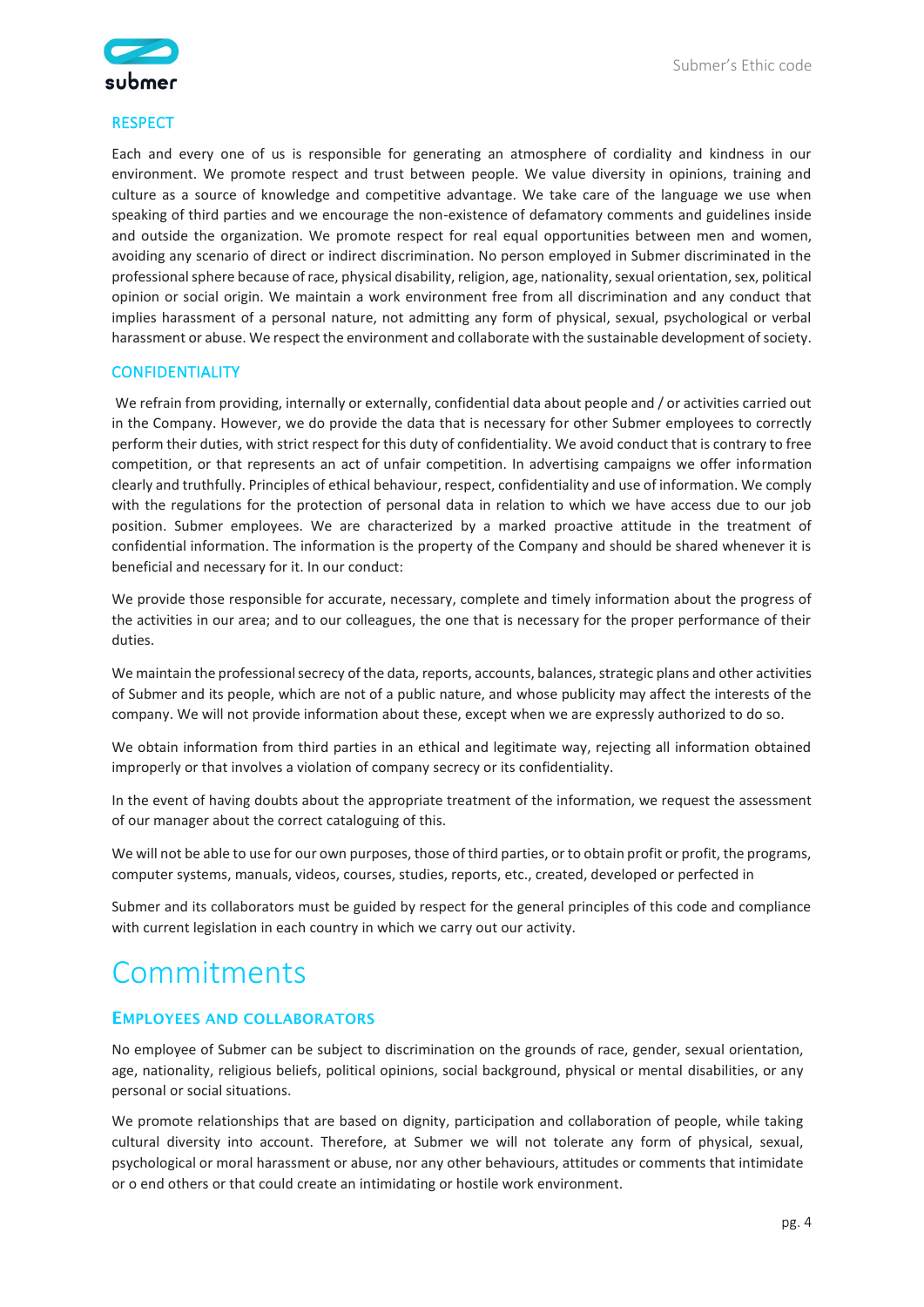



#### **RESPECT**

Each and every one of us is responsible for generating an atmosphere of cordiality and kindness in our environment. We promote respect and trust between people. We value diversity in opinions, training and culture as a source of knowledge and competitive advantage. We take care of the language we use when speaking of third parties and we encourage the non-existence of defamatory comments and guidelines inside and outside the organization. We promote respect for real equal opportunities between men and women, avoiding any scenario of direct or indirect discrimination. No person employed in Submer discriminated in the professional sphere because of race, physical disability, religion, age, nationality, sexual orientation, sex, political opinion or social origin. We maintain a work environment free from all discrimination and any conduct that implies harassment of a personal nature, not admitting any form of physical, sexual, psychological or verbal harassment or abuse. We respect the environment and collaborate with the sustainable development of society.

#### CONFIDENTIALITY

We refrain from providing, internally or externally, confidential data about people and / or activities carried out in the Company. However, we do provide the data that is necessary for other Submer employees to correctly perform their duties, with strict respect for this duty of confidentiality. We avoid conduct that is contrary to free competition, or that represents an act of unfair competition. In advertising campaigns we offer information clearly and truthfully. Principles of ethical behaviour, respect, confidentiality and use of information. We comply with the regulations for the protection of personal data in relation to which we have access due to our job position. Submer employees. We are characterized by a marked proactive attitude in the treatment of confidential information. The information is the property of the Company and should be shared whenever it is beneficial and necessary for it. In our conduct:

We provide those responsible for accurate, necessary, complete and timely information about the progress of the activities in our area; and to our colleagues, the one that is necessary for the proper performance of their duties.

We maintain the professional secrecy of the data, reports, accounts, balances, strategic plans and other activities of Submer and its people, which are not of a public nature, and whose publicity may affect the interests of the company. We will not provide information about these, except when we are expressly authorized to do so.

We obtain information from third parties in an ethical and legitimate way, rejecting all information obtained improperly or that involves a violation of company secrecy or its confidentiality.

In the event of having doubts about the appropriate treatment of the information, we request the assessment of our manager about the correct cataloguing of this.

We will not be able to use for our own purposes, those of third parties, or to obtain profit or profit, the programs, computer systems, manuals, videos, courses, studies, reports, etc., created, developed or perfected in

Submer and its collaborators must be guided by respect for the general principles of this code and compliance with current legislation in each country in which we carry out our activity.

## Commitments

#### EMPLOYEES AND COLLABORATORS

No employee of Submer can be subject to discrimination on the grounds of race, gender, sexual orientation, age, nationality, religious beliefs, political opinions, social background, physical or mental disabilities, or any personal or social situations.

We promote relationships that are based on dignity, participation and collaboration of people, while taking cultural diversity into account. Therefore, at Submer we will not tolerate any form of physical, sexual, psychological or moral harassment or abuse, nor any other behaviours, attitudes or comments that intimidate or o end others or that could create an intimidating or hostile work environment.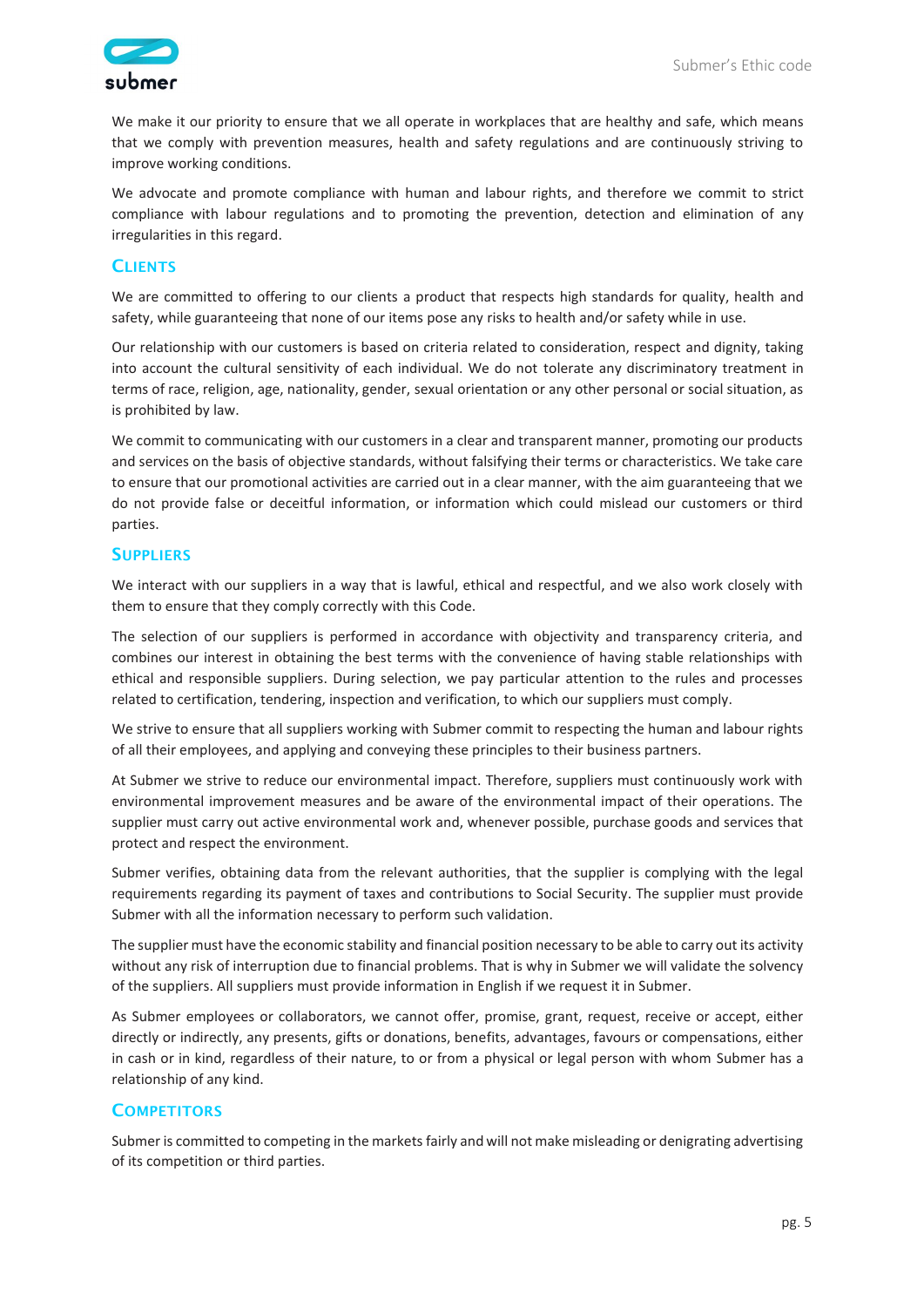

We make it our priority to ensure that we all operate in workplaces that are healthy and safe, which means that we comply with prevention measures, health and safety regulations and are continuously striving to improve working conditions.

We advocate and promote compliance with human and labour rights, and therefore we commit to strict compliance with labour regulations and to promoting the prevention, detection and elimination of any irregularities in this regard.

#### **CLIENTS**

We are committed to offering to our clients a product that respects high standards for quality, health and safety, while guaranteeing that none of our items pose any risks to health and/or safety while in use.

Our relationship with our customers is based on criteria related to consideration, respect and dignity, taking into account the cultural sensitivity of each individual. We do not tolerate any discriminatory treatment in terms of race, religion, age, nationality, gender, sexual orientation or any other personal or social situation, as is prohibited by law.

We commit to communicating with our customers in a clear and transparent manner, promoting our products and services on the basis of objective standards, without falsifying their terms or characteristics. We take care to ensure that our promotional activities are carried out in a clear manner, with the aim guaranteeing that we do not provide false or deceitful information, or information which could mislead our customers or third parties.

#### **SUPPLIERS**

We interact with our suppliers in a way that is lawful, ethical and respectful, and we also work closely with them to ensure that they comply correctly with this Code.

The selection of our suppliers is performed in accordance with objectivity and transparency criteria, and combines our interest in obtaining the best terms with the convenience of having stable relationships with ethical and responsible suppliers. During selection, we pay particular attention to the rules and processes related to certification, tendering, inspection and verification, to which our suppliers must comply.

We strive to ensure that all suppliers working with Submer commit to respecting the human and labour rights of all their employees, and applying and conveying these principles to their business partners.

At Submer we strive to reduce our environmental impact. Therefore, suppliers must continuously work with environmental improvement measures and be aware of the environmental impact of their operations. The supplier must carry out active environmental work and, whenever possible, purchase goods and services that protect and respect the environment.

Submer verifies, obtaining data from the relevant authorities, that the supplier is complying with the legal requirements regarding its payment of taxes and contributions to Social Security. The supplier must provide Submer with all the information necessary to perform such validation.

The supplier must have the economic stability and financial position necessary to be able to carry out its activity without any risk of interruption due to financial problems. That is why in Submer we will validate the solvency of the suppliers. All suppliers must provide information in English if we request it in Submer.

As Submer employees or collaborators, we cannot offer, promise, grant, request, receive or accept, either directly or indirectly, any presents, gifts or donations, benefits, advantages, favours or compensations, either in cash or in kind, regardless of their nature, to or from a physical or legal person with whom Submer has a relationship of any kind.

#### **COMPETITORS**

Submer is committed to competing in the markets fairly and will not make misleading or denigrating advertising of its competition or third parties.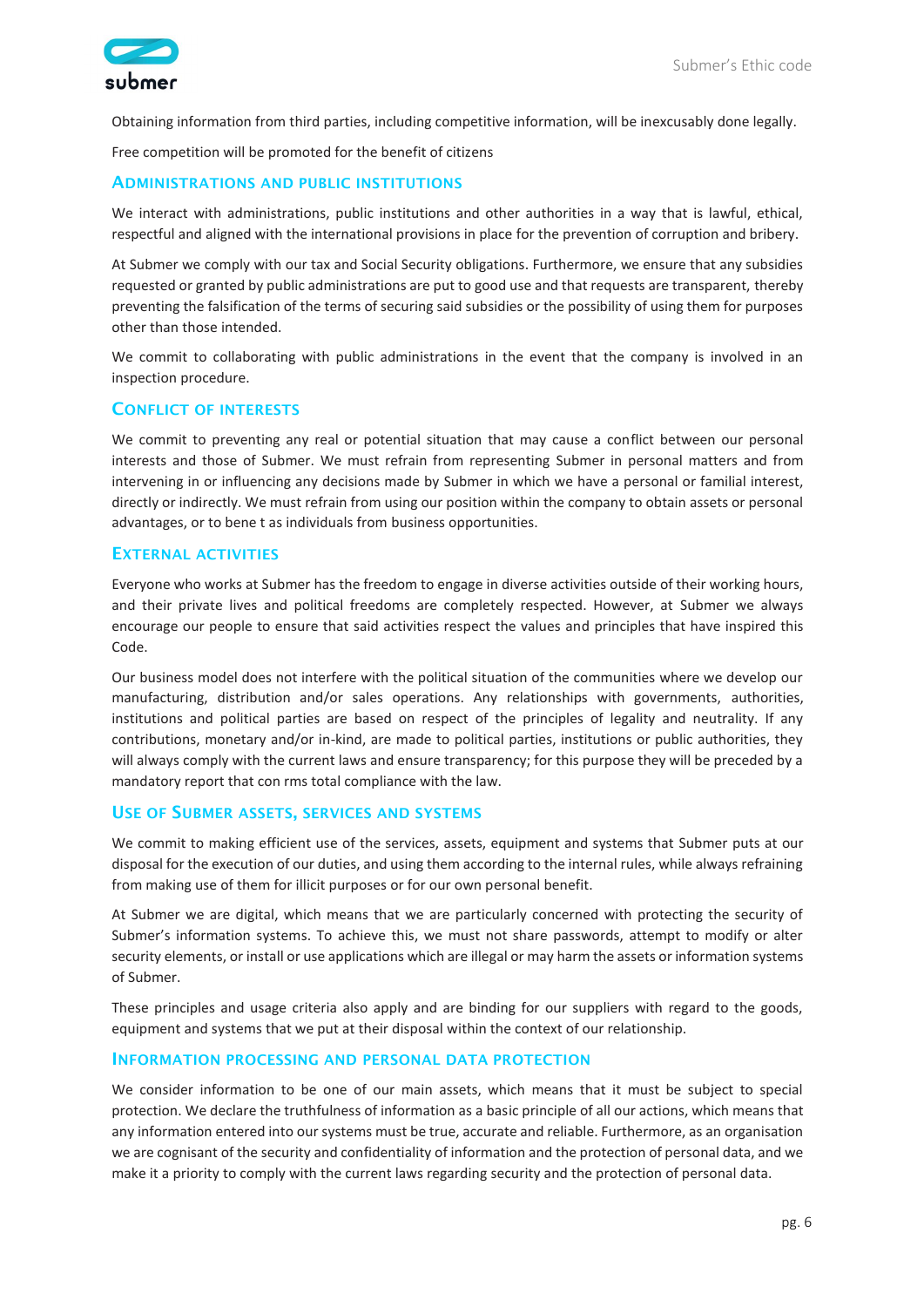

Obtaining information from third parties, including competitive information, will be inexcusably done legally.

Free competition will be promoted for the benefit of citizens

#### ADMINISTRATIONS AND PUBLIC INSTITUTIONS

We interact with administrations, public institutions and other authorities in a way that is lawful, ethical, respectful and aligned with the international provisions in place for the prevention of corruption and bribery.

At Submer we comply with our tax and Social Security obligations. Furthermore, we ensure that any subsidies requested or granted by public administrations are put to good use and that requests are transparent, thereby preventing the falsification of the terms of securing said subsidies or the possibility of using them for purposes other than those intended.

We commit to collaborating with public administrations in the event that the company is involved in an inspection procedure.

#### CONFLICT OF INTERESTS

We commit to preventing any real or potential situation that may cause a conflict between our personal interests and those of Submer. We must refrain from representing Submer in personal matters and from intervening in or influencing any decisions made by Submer in which we have a personal or familial interest, directly or indirectly. We must refrain from using our position within the company to obtain assets or personal advantages, or to bene t as individuals from business opportunities.

#### EXTERNAL ACTIVITIES

Everyone who works at Submer has the freedom to engage in diverse activities outside of their working hours, and their private lives and political freedoms are completely respected. However, at Submer we always encourage our people to ensure that said activities respect the values and principles that have inspired this Code.

Our business model does not interfere with the political situation of the communities where we develop our manufacturing, distribution and/or sales operations. Any relationships with governments, authorities, institutions and political parties are based on respect of the principles of legality and neutrality. If any contributions, monetary and/or in-kind, are made to political parties, institutions or public authorities, they will always comply with the current laws and ensure transparency; for this purpose they will be preceded by a mandatory report that con rms total compliance with the law.

#### USE OF SUBMER ASSETS, SERVICES AND SYSTEMS

We commit to making efficient use of the services, assets, equipment and systems that Submer puts at our disposal for the execution of our duties, and using them according to the internal rules, while always refraining from making use of them for illicit purposes or for our own personal benefit.

At Submer we are digital, which means that we are particularly concerned with protecting the security of Submer's information systems. To achieve this, we must not share passwords, attempt to modify or alter security elements, or install or use applications which are illegal or may harm the assets or information systems of Submer.

These principles and usage criteria also apply and are binding for our suppliers with regard to the goods, equipment and systems that we put at their disposal within the context of our relationship.

#### INFORMATION PROCESSING AND PERSONAL DATA PROTECTION

We consider information to be one of our main assets, which means that it must be subject to special protection. We declare the truthfulness of information as a basic principle of all our actions, which means that any information entered into our systems must be true, accurate and reliable. Furthermore, as an organisation we are cognisant of the security and confidentiality of information and the protection of personal data, and we make it a priority to comply with the current laws regarding security and the protection of personal data.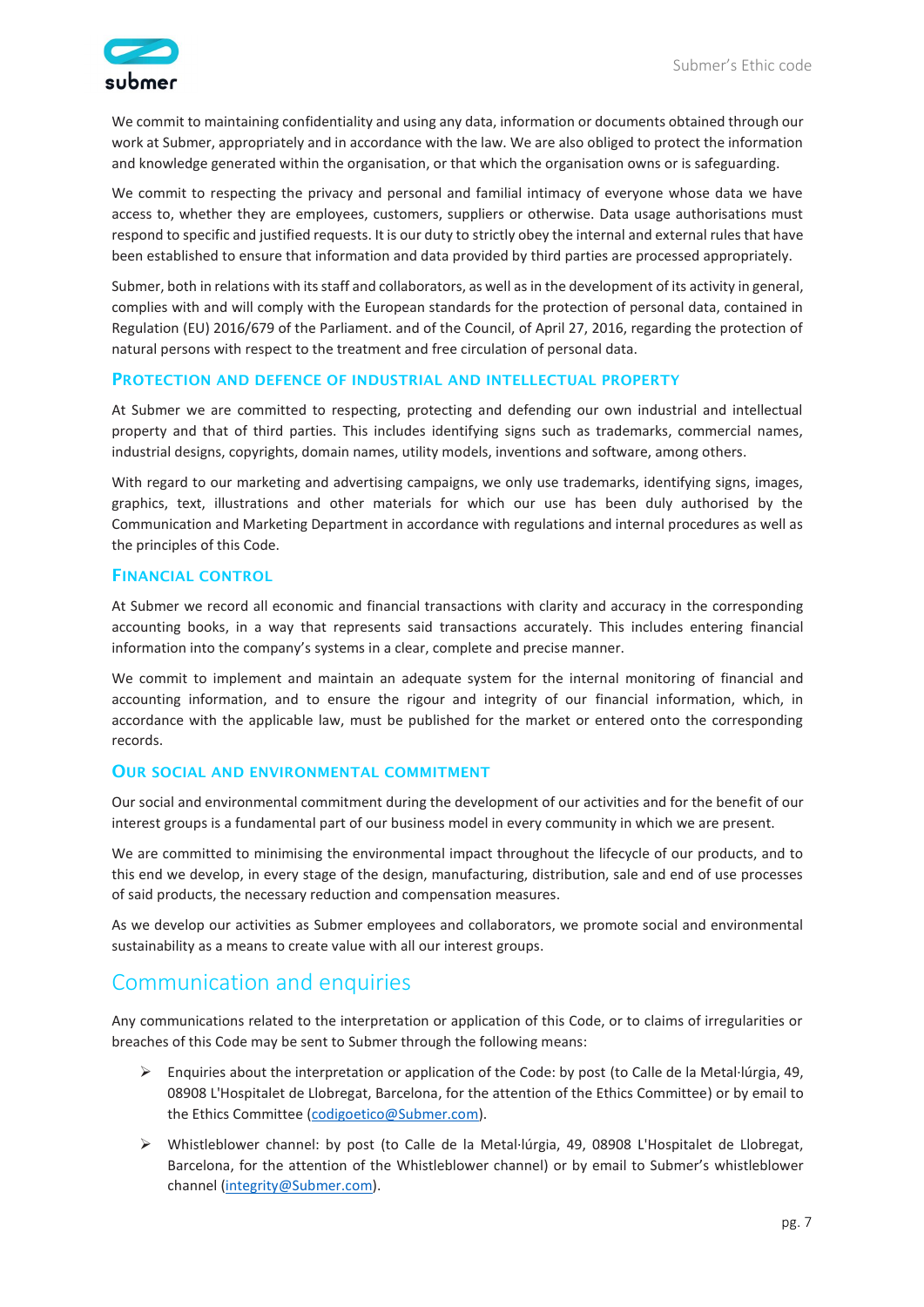

We commit to maintaining confidentiality and using any data, information or documents obtained through our work at Submer, appropriately and in accordance with the law. We are also obliged to protect the information and knowledge generated within the organisation, or that which the organisation owns or is safeguarding.

We commit to respecting the privacy and personal and familial intimacy of everyone whose data we have access to, whether they are employees, customers, suppliers or otherwise. Data usage authorisations must respond to specific and justified requests. It is our duty to strictly obey the internal and external rules that have been established to ensure that information and data provided by third parties are processed appropriately.

Submer, both in relations with its staff and collaborators, as well as in the development of its activity in general, complies with and will comply with the European standards for the protection of personal data, contained in Regulation (EU) 2016/679 of the Parliament. and of the Council, of April 27, 2016, regarding the protection of natural persons with respect to the treatment and free circulation of personal data.

#### PROTECTION AND DEFENCE OF INDUSTRIAL AND INTELLECTUAL PROPERTY

At Submer we are committed to respecting, protecting and defending our own industrial and intellectual property and that of third parties. This includes identifying signs such as trademarks, commercial names, industrial designs, copyrights, domain names, utility models, inventions and software, among others.

With regard to our marketing and advertising campaigns, we only use trademarks, identifying signs, images, graphics, text, illustrations and other materials for which our use has been duly authorised by the Communication and Marketing Department in accordance with regulations and internal procedures as well as the principles of this Code.

#### FINANCIAL CONTROL

At Submer we record all economic and financial transactions with clarity and accuracy in the corresponding accounting books, in a way that represents said transactions accurately. This includes entering financial information into the company's systems in a clear, complete and precise manner.

We commit to implement and maintain an adequate system for the internal monitoring of financial and accounting information, and to ensure the rigour and integrity of our financial information, which, in accordance with the applicable law, must be published for the market or entered onto the corresponding records.

#### OUR SOCIAL AND ENVIRONMENTAL COMMITMENT

Our social and environmental commitment during the development of our activities and for the benefit of our interest groups is a fundamental part of our business model in every community in which we are present.

We are committed to minimising the environmental impact throughout the lifecycle of our products, and to this end we develop, in every stage of the design, manufacturing, distribution, sale and end of use processes of said products, the necessary reduction and compensation measures.

As we develop our activities as Submer employees and collaborators, we promote social and environmental sustainability as a means to create value with all our interest groups.

### Communication and enquiries

Any communications related to the interpretation or application of this Code, or to claims of irregularities or breaches of this Code may be sent to Submer through the following means:

- $\triangleright$  Enquiries about the interpretation or application of the Code: by post (to Calle de la Metal·lúrgia, 49, 08908 L'Hospitalet de Llobregat, Barcelona, for the attention of the Ethics Committee) or by email to the Ethics Committee [\(codigoetico@Submer.com\)](mailto:codigoetico@Submer.com).
- ➢ Whistleblower channel: by post (to Calle de la Metal·lúrgia, 49, 08908 L'Hospitalet de Llobregat, Barcelona, for the attention of the Whistleblower channel) or by email to Submer's whistleblower channel [\(integrity@Submer.com\)](mailto:integrity@Submer.com)).).